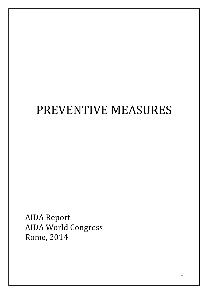# PREVENTIVE MEASURES

AIDA Report AIDA World Congress Rome, 2014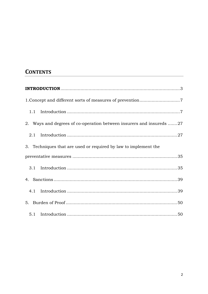## **CONTENTS**

| 1.1                                                                  |  |
|----------------------------------------------------------------------|--|
| 2. Ways and degrees of co-operation between insurers and insureds 27 |  |
| 2.1                                                                  |  |
| 3. Techniques that are used or required by law to implement the      |  |
|                                                                      |  |
|                                                                      |  |
|                                                                      |  |
|                                                                      |  |
|                                                                      |  |
|                                                                      |  |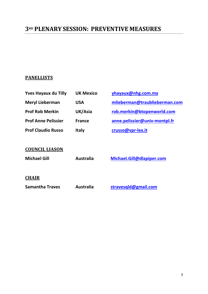## **3RD PLENARY SESSION: PREVENTIVE MEASURES**

## **PANELLISTS**

| <b>Yves Hayaux du Tilly</b> | <b>UK Mexico</b> | yhayaux@nhg.com.mx            |
|-----------------------------|------------------|-------------------------------|
| <b>Meryl Lieberman</b>      | <b>USA</b>       | mlieberman@traublieberman.com |
| <b>Prof Rob Merkin</b>      | UK/Asia          | rob.merkin@btopenworld.com    |
| <b>Prof Anne Pelissier</b>  | <b>France</b>    | anne.pelissier@univ-montpl.fr |
| <b>Prof Claudio Russo</b>   | <b>Italy</b>     | crusso@vpr-lex.it             |
|                             |                  |                               |
| <b>COUNCIL LIASON</b>       |                  |                               |
| <b>Michael Gill</b>         | <b>Australia</b> | Michael.Gill@dlapiper.com     |
|                             |                  |                               |
| <b>CHAIR</b>                |                  |                               |
| <b>Samantha Traves</b>      | <b>Australia</b> | stravesqld@gmail.com          |
|                             |                  |                               |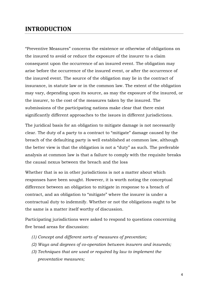## **INTRODUCTION**

"Preventive Measures" concerns the existence or otherwise of obligations on the insured to avoid or reduce the exposure of the insurer to a claim consequent upon the occurrence of an insured event. The obligation may arise before the occurrence of the insured event, or after the occurrence of the insured event. The source of the obligation may lie in the contract of insurance, in statute law or in the common law. The extent of the obligation may vary, depending upon its source, as may the exposure of the insured, or the insurer, to the cost of the measures taken by the insured. The submissions of the participating nations make clear that there exist significantly different approaches to the issues in different jurisdictions.

The juridical basis for an obligation to mitigate damage is not necessarily clear. The duty of a party to a contract to "mitigate" damage caused by the breach of the defaulting party is well established at common law, although the better view is that the obligation is not a "duty" as such. The preferable analysis at common law is that a failure to comply with the requisite breaks the causal nexus between the breach and the loss

Whether that is so in other jurisdictions is not a matter about which responses have been sought. However, it is worth noting the conceptual difference between an obligation to mitigate in response to a breach of contract, and an obligation to "mitigate" where the insurer is under a contractual duty to indemnify. Whether or not the obligations ought to be the same is a matter itself worthy of discussion.

Participating jurisdictions were asked to respond to questions concerning five broad areas for discussion:

- *(1) Concept and different sorts of measures of prevention;*
- *(2) Ways and degrees of co-operation between insurers and insureds;*
- *(3) Techniques that are used or required by law to implement the preventative measures;*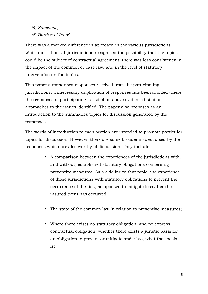*(4) Sanctions;* 

*(5) Burden of Proof*.

There was a marked difference in approach in the various jurisdictions. While most if not all jurisdictions recognised the possibility that the topics could be the subject of contractual agreement, there was less consistency in the impact of the common or case law, and in the level of statutory intervention on the topics.

This paper summarises responses received from the participating jurisdictions. Unnecessary duplication of responses has been avoided where the responses of participating jurisdictions have evidenced similar approaches to the issues identified. The paper also proposes as an introduction to the summaries topics for discussion generated by the responses.

The words of introduction to each section are intended to promote particular topics for discussion. However, there are some broader issues raised by the responses which are also worthy of discussion. They include:

- A comparison between the experiences of the jurisdictions with, and without, established statutory obligations concerning preventive measures. As a sideline to that topic, the experience of those jurisdictions with statutory obligations to prevent the occurrence of the risk, as opposed to mitigate loss after the insured event has occurred;
- The state of the common law in relation to preventive measures;
- Where there exists no statutory obligation, and no express contractual obligation, whether there exists a juristic basis for an obligation to prevent or mitigate and, if so, what that basis is;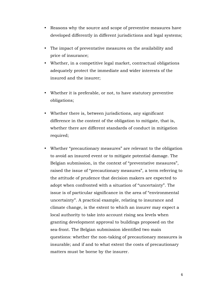- Reasons why the source and scope of preventive measures have developed differently in different jurisdictions and legal systems;
- The impact of preventative measures on the availability and price of insurance;
- Whether, in a competitive legal market, contractual obligations adequately protect the immediate and wider interests of the insured and the insurer;
- Whether it is preferable, or not, to have statutory preventive obligations;
- Whether there is, between jurisdictions, any significant difference in the content of the obligation to mitigate, that is, whether there are different standards of conduct in mitigation required;
- Whether "precautionary measures" are relevant to the obligation to avoid an insured event or to mitigate potential damage. The Belgian submission, in the context of "preventative measures", raised the issue of "precautionary measures", a term referring to the attitude of prudence that decision makers are expected to adopt when confronted with a situation of "uncertainty". The issue is of particular significance in the area of "environmental uncertainty". A practical example, relating to insurance and climate change, is the extent to which an insurer may expect a local authority to take into account rising sea levels when granting development approval to buildings proposed on the sea-front. The Belgian submission identified two main questions: whether the non-taking of precautionary measures is insurable; and if and to what extent the costs of precautionary matters must be borne by the insurer.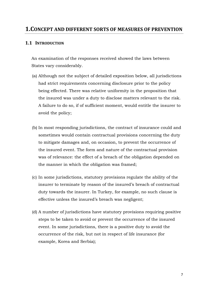## **1.CONCEPT AND DIFFERENT SORTS OF MEASURES OF PREVENTION**

## **1.1 INTRODUCTION**

An examination of the responses received showed the laws between States vary considerably.

- (a) Although not the subject of detailed exposition below, all jurisdictions had strict requirements concerning disclosure prior to the policy being effected. There was relative uniformity in the proposition that the insured was under a duty to disclose matters relevant to the risk. A failure to do so, if of sufficient moment, would entitle the insurer to avoid the policy;
- (b) In most responding jurisdictions, the contract of insurance could and sometimes would contain contractual provisions concerning the duty to mitigate damages and, on occasion, to prevent the occurrence of the insured event. The form and nature of the contractual provision was of relevance: the effect of a breach of the obligation depended on the manner in which the obligation was framed;
- (c) In some jurisdictions, statutory provisions regulate the ability of the insurer to terminate by reason of the insured's breach of contractual duty towards the insurer. In Turkey, for example, no such clause is effective unless the insured's breach was negligent;
- (d) A number of jurisdictions have statutory provisions requiring positive steps to be taken to avoid or prevent the occurrence of the insured event. In some jurisdictions, there is a positive duty to avoid the occurrence of the risk, but not in respect of life insurance (for example, Korea and Serbia);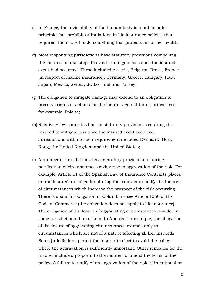- (e) In France, the inviolability of the human body is a public order principle that prohibits stipulations in life insurance policies that requires the insured to do something that protects his or her health;
- (f) Most responding jurisdictions have statutory provisions compelling the insured to take steps to avoid or mitigate loss once the insured event had occurred. These included Austria, Belgium, Brazil, France (in respect of marine insurance), Germany, Greece, Hungary, Italy, Japan, Mexico, Serbia, Switzerland and Turkey;
- (g) The obligation to mitigate damage may extend to an obligation to preserve rights of actions for the insurer against third parties – see, for example, Poland;
- (h) Relatively few countries had no statutory provisions requiring the insured to mitigate loss once the insured event occurred. Jurisdictions with no such requirement included Denmark, Hong Kong, the United Kingdom and the United States;
- (i) A number of jurisdictions have statutory provisions requiring notification of circumstances giving rise to aggravation of the risk. For example, Article 11 of the Spanish Law of Insurance Contracts places on the insured an obligation during the contract to notify the insurer of circumstances which increase the prospect of the risk occurring. There is a similar obligation in Columbia – see Article 1060 of the Code of Commerce (the obligation does not apply to life insurance). The obligation of disclosure of aggravating circumstances is wider in some jurisdictions than others. In Austria, for example, the obligation of disclosure of aggravating circumstances extends only to circumstances which are not of a nature affecting all like insureds. Some jurisdictions permit the insurer to elect to avoid the policy where the aggravation is sufficiently important. Other remedies for the insurer include a proposal to the insurer to amend the terms of the policy. A failure to notify of an aggravation of the risk, if intentional or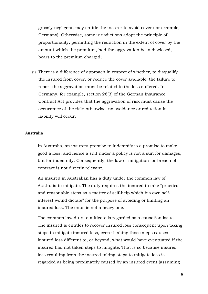grossly negligent, may entitle the insurer to avoid cover (for example, Germany). Otherwise, some jurisdictions adopt the principle of proportionality, permitting the reduction in the extent of cover by the amount which the premium, had the aggravation been disclosed, bears to the premium charged;

(j) There is a difference of approach in respect of whether, to disqualify the insured from cover, or reduce the cover available, the failure to report the aggravation must be related to the loss suffered. In Germany, for example, section 26(3) of the German Insurance Contract Act provides that the aggravation of risk must cause the occurrence of the risk: otherwise, no avoidance or reduction in liability will occur.

## **Australia**

In Australia, an insurers promise to indemnify is a promise to make good a loss, and hence a suit under a policy is not a suit for damages, but for indemnity. Consequently, the law of mitigation for breach of contract is not directly relevant.

An insured in Australian has a duty under the common law of Australia to mitigate. The duty requires the insured to take "practical and reasonable steps as a matter of self-help which his own selfinterest would dictate" for the purpose of avoiding or limiting an insured loss. The onus is not a heavy one.

The common law duty to mitigate is regarded as a causation issue. The insured is entitles to recover insured loss consequent upon taking steps to mitigate insured loss, even if taking those steps causes insured loss different to, or beyond, what would have eventuated if the insured had not taken steps to mitigate. That is so because insured loss resulting from the insured taking steps to mitigate loss is regarded as being proximately caused by an insured event (assuming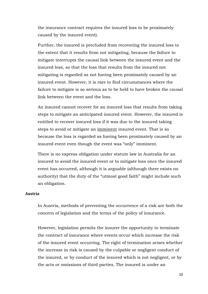the insurance contract requires the insured loss to be proximately caused by the insured event).

Further, the insured is precluded from recovering the insured loss to the extent that it results from not mitigating, because the failure to mitigate interrupts the causal link between the insured event and the insured loss, so that the loss that results from the insured not mitigating is regarded as not having been proximately caused by an insured event. However, it is rare to find circumstances where the failure to mitigate is so serious as to be held to have broken the causal link between the event and the loss.

An insured cannot recover for an insured loss that results from taking steps to mitigate an anticipated insured event. However, the insured is entitled to recover insured loss if it was due to the insured taking steps to avoid or mitigate an imminent insured event. That is so because the loss is regarded as having been proximately caused by an insured event even though the event was "only" imminent.

There is no express obligation under statute law in Australia for an insured to avoid the insured event or to mitigate loss once the insured event has occurred, although it is arguable (although there exists no authority) that the duty of the "utmost good faith" might include such an obligation.

## **Austria**

In Austria, methods of preventing the occurrence of a risk are both the concern of legislation and the terms of the policy of insurance.

However, legislation permits the insurer the opportunity to terminate the contract of insurance where events occur which increase the risk of the insured event occurring. The right of termination arises whether the increase in risk is caused by the culpable or negligent conduct of the insured, or by conduct of the insured which is not negligent, or by the acts or omissions of third parties. The insured is under an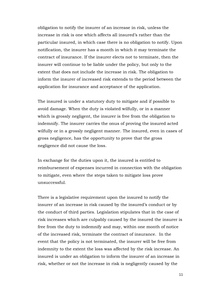obligation to notify the insurer of an increase in risk, unless the increase in risk is one which affects all insured's rather than the particular insured, in which case there is no obligation to notify. Upon notification, the insurer has a month in which it may terminate the contract of insurance. If the insurer elects not to terminate, then the insurer will continue to be liable under the policy, but only to the extent that does not include the increase in risk. The obligation to inform the insurer of increased risk extends to the period between the application for insurance and acceptance of the application.

The insured is under a statutory duty to mitigate and if possible to avoid damage. When the duty is violated wilfully, or in a manner which is grossly negligent, the insurer is free from the obligation to indemnify. The insurer carries the onus of proving the insured acted wilfully or in a grossly negligent manner. The insured, even in cases of gross negligence, has the opportunity to prove that the gross negligence did not cause the loss.

In exchange for the duties upon it, the insured is entitled to reimbursement of expenses incurred in connection with the obligation to mitigate, even where the steps taken to mitigate loss prove unsuccessful.

There is a legislative requirement upon the insured to notify the insurer of an increase in risk caused by the insured's conduct or by the conduct of third parties. Legislation stipulates that in the case of risk increases which are culpably caused by the insured the insurer is free from the duty to indemnify and may, within one month of notice of the increased risk, terminate the contract of insurance. In the event that the policy is not terminated, the insurer will be free from indemnity to the extent the loss was affected by the risk increase. An insured is under an obligation to inform the insurer of an increase in risk, whether or not the increase in risk is negligently caused by the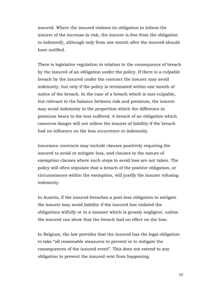insured. Where the insured violates its obligation to inform the insurer of the increase in risk, the insurer is free from the obligation to indemnify, although only from one month after the insured should have notified.

There is legislative regulation in relation to the consequence of breach by the insured of an obligation under the policy. If there is a culpable breach by the insured under the contract the insurer may avoid indemnity, but only if the policy is terminated within one month of notice of the breach. In the case of a breach which is non-culpable, but relevant to the balance between risk and premium, the insurer may avoid indemnity in the proportion which the difference in premium bears to the loss suffered. A breach of an obligation which concerns danger will not relieve the insurer of liability if the breach had no influence on the loss occurrence or indemnity.

Insurance contracts may include clauses positively requiring the insured to avoid or mitigate loss, and clauses in the nature of exemption clauses where such steps to avoid loss are not taken. The policy will often stipulate that a breach of the positive obligation, or circumstances within the exemption, will justify the insurer refusing indemnity.

In Austria, if the insured breaches a post-loss obligation to mitigate the insurer may avoid liability if the insured has violated the obligations wilfully or in a manner which is grossly negligent, unless the insured can show that the breach had no effect on the loss.

In Belgium, the law provides that the insured has the legal obligation to take "all reasonable measures to prevent or to mitigate the consequences of the insured event". This does not extend to any obligation to prevent the insured vent from happening.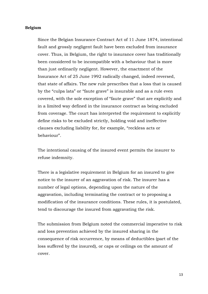## **Belgium**

Since the Belgian Insurance Contract Act of 11 June 1874, intentional fault and grossly negligent fault have been excluded from insurance cover. Thus, in Belgium, the right to insurance cover has traditionally been considered to be incompatible with a behaviour that is more than just ordinarily negligent. However, the enactment of the Insurance Act of 25 June 1992 radically changed, indeed reversed, that state of affairs. The new rule prescribes that a loss that is caused by the "culpa lata" or "faute grave" is insurable and as a rule even covered, with the sole exception of "faute grave" that are explicitly and in a limited way defined in the insurance contract as being excluded from coverage. The court has interpreted the requirement to explicitly define risks to be excluded strictly, holding void and ineffective clauses excluding liability for, for example, "reckless acts or behaviour".

The intentional causing of the insured event permits the insurer to refuse indemnity.

There is a legislative requirement in Belgium for an insured to give notice to the insurer of an aggravation of risk. The insurer has a number of legal options, depending upon the nature of the aggravation, including terminating the contract or to proposing a modification of the insurance conditions. These rules, it is postulated, tend to discourage the insured from aggravating the risk.

The submission from Belgium noted the commercial imperative to risk and loss prevention achieved by the insured sharing in the consequence of risk occurrence, by means of deductibles (part of the loss suffered by the insured), or caps or ceilings on the amount of cover.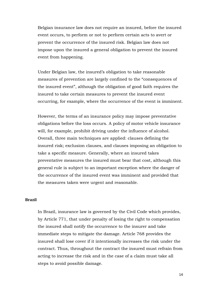Belgian insurance law does not require an insured, before the insured event occurs, to perform or not to perform certain acts to avert or prevent the occurrence of the insured risk. Belgian law does not impose upon the insured a general obligation to prevent the insured event from happening.

Under Belgian law, the insured's obligation to take reasonable measures of prevention are largely confined to the "consequences of the insured event", although the obligation of good faith requires the insured to take certain measures to prevent the insured event occurring, for example, where the occurrence of the event is imminent.

However, the terms of an insurance policy may impose preventative obligations before the loss occurs. A policy of motor vehicle insurance will, for example, prohibit driving under the influence of alcohol. Overall, three main techniques are applied: clauses defining the insured risk; exclusion clauses, and clauses imposing an obligation to take a specific measure. Generally, where an insured takes preventative measures the insured must bear that cost, although this general rule is subject to an important exception where the danger of the occurrence of the insured event was imminent and provided that the measures taken were urgent and reasonable.

## **Brazil**

In Brazil, insurance law is governed by the Civil Code which provides, by Article 771, that under penalty of losing the right to compensation the insured shall notify the occurrence to the insurer and take immediate steps to mitigate the damage. Article 768 provides the insured shall lose cover if it intentionally increases the risk under the contract. Thus, throughout the contract the insured must refrain from acting to increase the risk and in the case of a claim must take all steps to avoid possible damage.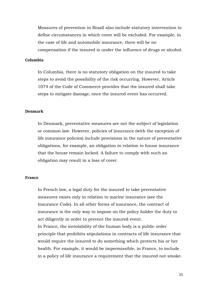Measures of prevention in Brazil also include statutory intervention to define circumstances in which cover will be excluded. For example, in the case of life and automobile insurance, there will be no compensation if the insured is under the influence of drugs or alcohol.

## **Columbia**

In Columbia, there is no statutory obligation on the insured to take steps to avoid the possibility of the risk occurring. However, Article 1074 of the Code of Commerce provides that the insured shall take steps to mitigate damage, once the insured event has occurred.

## **Denmark**

In Denmark, preventative measures are not the subject of legislation or common law. However, policies of insurance (with the exception of life insurance policies) include provisions in the nature of preventative obligations, for example, an obligation in relation to house insurance that the house remain locked. A failure to comply with such an obligation may result in a loss of cover.

## **France**

In French law, a legal duty for the insured to take preventative measures exists only in relation to marine insurance (see the Insurance Code). In all other forms of insurance, the contract of insurance is the only way to impose on the policy holder the duty to act diligently in order to prevent the insured event. In France, the inviolability of the human body is a public order principle that prohibits stipulations in contracts of life insurance that would require the insured to do something which protects his or her health. For example, it would be impermissible, in France, to include in a policy of life insurance a requirement that the insured not smoke.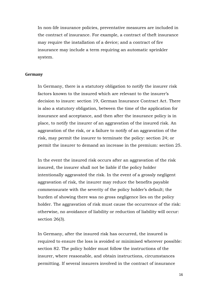In non-life insurance policies, preventative measures are included in the contract of insurance. For example, a contract of theft insurance may require the installation of a device; and a contract of fire insurance may include a term requiring an automatic sprinkler system.

## **Germany**

In Germany, there is a statutory obligation to notify the insurer risk factors known to the insured which are relevant to the insurer's decision to insure: section 19, German Insurance Contract Act. There is also a statutory obligation, between the time of the application for insurance and acceptance, and then after the insurance policy is in place, to notify the insurer of an aggravation of the insured risk. An aggravation of the risk, or a failure to notify of an aggravation of the risk, may permit the insurer to terminate the policy: section 24; or permit the insurer to demand an increase in the premium: section 25.

In the event the insured risk occurs after an aggravation of the risk insured, the insurer shall not be liable if the policy holder intentionally aggravated the risk. In the event of a grossly negligent aggravation of risk, the insurer may reduce the benefits payable commensurate with the severity of the policy holder's default; the burden of showing there was no gross negligence lies on the policy holder. The aggravation of risk must cause the occurrence of the risk: otherwise, no avoidance of liability or reduction of liability will occur: section 26(3).

In Germany, after the insured risk has occurred, the insured is required to ensure the loss is avoided or minimised wherever possible: section 82. The policy holder must follow the instructions of the insurer, where reasonable, and obtain instructions, circumstances permitting. If several insurers involved in the contract of insurance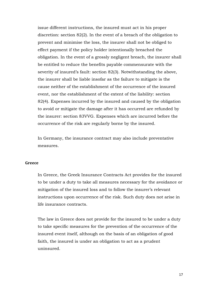issue different instructions, the insured must act in his proper discretion: section 82(2). In the event of a breach of the obligation to prevent and minimise the loss, the insurer shall not be obliged to effect payment if the policy holder intentionally breached the obligation. In the event of a grossly negligent breach, the insurer shall be entitled to reduce the benefits payable commensurate with the severity of insured's fault: section 82(3). Notwithstanding the above, the insurer shall be liable insofar as the failure to mitigate is the cause neither of the establishment of the occurrence of the insured event, nor the establishment of the extent of the liability: section 82(4). Expenses incurred by the insured and caused by the obligation to avoid or mitigate the damage after it has occurred are refunded by the insurer: section 83VVG. Expenses which are incurred before the occurrence of the risk are regularly borne by the insured.

In Germany, the insurance contract may also include preventative measures.

## **Greece**

In Greece, the Greek Insurance Contracts Act provides for the insured to be under a duty to take all measures necessary for the avoidance or mitigation of the insured loss and to follow the insurer's relevant instructions upon occurrence of the risk. Such duty does not arise in life insurance contracts.

The law in Greece does not provide for the insured to be under a duty to take specific measures for the prevention of the occurrence of the insured event itself, although on the basis of an obligation of good faith, the insured is under an obligation to act as a prudent uninsured.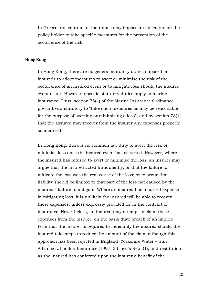In Greece, the contract of insurance may impose an obligation on the policy holder to take specific measures for the prevention of the occurrence of the risk.

## **Hong Kong**

In Hong Kong, there are no general statutory duties imposed on insureds to adopt measures to avert or minimise the risk of the occurrence of an insured event or to mitigate loss should the insured event occur. However, specific statutory duties apply to marine insurance. Thus, section 78(4) of the Marine Insurance Ordinance prescribes a statutory to "take such measures as may be reasonable for the purpose of averting or minimising a loss", and by section 78(1) that the assured may recover from the insurer any expenses properly so incurred.

In Hong Kong, there is no common law duty to avert the risk or minimise loss once the insured event has occurred. However, where the insured has refused to avert or minimise the loss, an insurer may argue that the insured acted fraudulently, or that the failure to mitigate the loss was the real cause of the loss; or to argue that liability should be limited to that part of the loss not caused by the insured's failure to mitigate. Where an insured has incurred expense in mitigating loss, it is unlikely the insured will be able to recover these expenses, unless expressly provided for in the contract of insurance. Nevertheless, an insured may attempt to claim these expenses from the insurer, on the basis that: breach of an implied term that the insurer is required to indemnify the insured should the insured take steps to reduce the amount of the claim although this approach has been rejected in England (Yorkshire Water v Sun Alliance & London Insurance [1997] 2 Lloyd's Rep 21); and restitution as the insured has conferred upon the insurer a benefit of the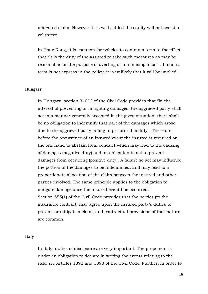mitigated claim. However, it is well settled the equity will not assist a volunteer.

In Hong Kong, it is common for policies to contain a term to the effect that "It is the duty of the assured to take such measures as may be reasonable for the purpose of averting or minimising a loss". If such a term is not express in the policy, it is unlikely that it will be implied.

## **Hungary**

In Hungary, section 340(1) of the Civil Code provides that "in the interest of preventing or mitigating damages, the aggrieved party shall act in a manner generally accepted in the given situation; there shall be no obligation to indemnify that part of the damages which arose due to the aggrieved party failing to perform this duty". Therefore, before the occurrence of an insured event the insured is required on the one hand to abstain from conduct which may lead to the causing of damages (negative duty) and an obligation to act to prevent damages from occurring (positive duty). A failure so act may influence the portion of the damages to be indemnified, and may lead to a proportionate allocation of the claim between the insured and other parties involved. The same principle applies to the obligation to mitigate damage once the insured event has occurred. Section 555(1) of the Civil Code provides that the parties (to the insurance contract) may agree upon the insured party's duties to prevent or mitigate a claim, and contractual provisions of that nature are common.

## **Italy**

In Italy, duties of disclosure are very important. The proponent is under an obligation to declare in writing the events relating to the risk: see Articles 1892 and 1893 of the Civil Code. Further, in order to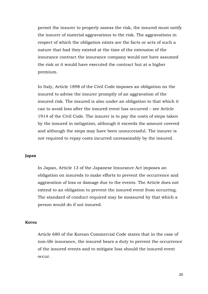permit the insurer to properly assess the risk, the insured must notify the insurer of material aggravations to the risk. The aggravations in respect of which the obligation exists are the facts or acts of such a nature that had they existed at the time of the extension of the insurance contract the insurance company would not have assumed the risk or it would have executed the contract but at a higher premium.

In Italy, Article 1898 of the Civil Code imposes an obligation on the insured to advise the insurer promptly of an aggravation of the insured risk. The insured is also under an obligation to that which it can to avoid loss after the insured event has occurred – see Article 1914 of the Civil Code. The insurer is to pay the costs of steps taken by the insured in mitigation, although it exceeds the amount covered and although the steps may have been unsuccessful. The insurer is not required to repay costs incurred unreasonably by the insured.

## **Japan**

In Japan, Article 13 of the Japanese Insurance Act imposes an obligation on insureds to make efforts to prevent the occurrence and aggravation of loss or damage due to the events. The Article does not extend to an obligation to prevent the insured event from occurring. The standard of conduct required may be measured by that which a person would do if not insured.

## **Korea**

Article 680 of the Korean Commercial Code states that in the case of non-life insurance, the insured bears a duty to prevent the occurrence of the insured events and to mitigate loss should the insured event occur.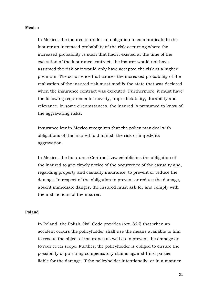#### **Mexico**

In Mexico, the insured is under an obligation to communicate to the insurer an increased probability of the risk occurring where the increased probability is such that had it existed at the time of the execution of the insurance contract, the insurer would not have assumed the risk or it would only have accepted the risk at a higher premium. The occurrence that causes the increased probability of the realization of the insured risk must modify the state that was declared when the insurance contract was executed. Furthermore, it must have the following requirements: novelty, unpredictability, durability and relevance. In some circumstances, the insured is presumed to know of the aggravating risks.

Insurance law in Mexico recognizes that the policy may deal with obligations of the insured to diminish the risk or impede its aggravation.

In Mexico, the Insurance Contract Law establishes the obligation of the insured to give timely notice of the occurrence of the casualty and, regarding property and casualty insurance, to prevent or reduce the damage. In respect of the obligation to prevent or reduce the damage, absent immediate danger, the insured must ask for and comply with the instructions of the insurer.

## **Poland**

In Poland, the Polish Civil Code provides (Art. 826) that when an accident occurs the policyholder shall use the means available to him to rescue the object of insurance as well as to prevent the damage or to reduce its scope. Further, the policyholder is obliged to ensure the possibility of pursuing compensatory claims against third parties liable for the damage. If the policyholder intentionally, or in a manner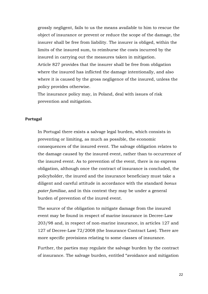grossly negligent, fails to us the means available to him to rescue the object of insurance or prevent or reduce the scope of the damage, the insurer shall be free from liability. The insurer is obliged, within the limits of the insured sum, to reimburse the costs incurred by the insured in carrying out the measures taken in mitigation. Article 827 provides that the insurer shall be free from obligation where the insured has inflicted the damage intentionally, and also where it is caused by the gross negligence of the insured, unless the policy provides otherwise.

The insurance policy may, in Poland, deal with issues of risk prevention and mitigation.

## **Portugal**

In Portugal there exists a salvage legal burden, which consists in preventing or limiting, as much as possible, the economic consequences of the insured event. The salvage obligation relates to the damage caused by the insured event, rather than to occurrence of the insured event. As to prevention of the event, there is no express obligation, although once the contract of insurance is concluded, the policyholder, the inured and the insurance beneficiary must take a diligent and careful attitude in accordance with the standard *bonus pater familiae*, and in this context they may be under a general burden of prevention of the inured event.

The source of the obligation to mitigate damage from the insured event may be found in respect of marine insurance in Decree-Law 203/98 and, in respect of non-marine insurance, in articles 127 and 127 of Decree-Law 72/2008 (the Insurance Contract Law). There are more specific provisions relating to some classes of insurance.

Further, the parties may regulate the salvage burden by the contract of insurance. The salvage burden, entitled "avoidance and mitigation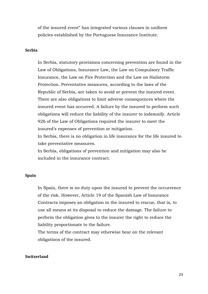of the insured event" has integrated various clauses in uniform policies established by the Portuguese Insurance Institute.

## **Serbia**

In Serbia, statutory provisions concerning prevention are found in the Law of Obligations, Insurance Law, the Law on Compulsory Traffic Insurance, the Law on Fire Protection and the Law on Hailstorm Protection. Preventative measures, according to the laws of the Republic of Serbia, are taken to avoid or prevent the insured event. There are also obligations to limit adverse consequences where the insured event has occurred. A failure by the insured to perform such obligations will reduce the liability of the insurer to indemnify. Article 926 of the Law of Obligations required the insurer to meet the insured's expenses of prevention or mitigation.

In Serbia, there is no obligation in life insurance for the life insured to take preventative measures.

In Serbia, obligations of prevention and mitigation may also be included in the insurance contract.

## **Spain**

In Spain, there is no duty upon the insured to prevent the occurrence of the risk. However, Article 19 of the Spanish Law of Insurance Contracts imposes an obligation in the insured to rescue, that is, to use all means at its disposal to reduce the damage. The failure to perform the obligation gives to the insurer the right to reduce the liability proportionate to the failure.

The terms of the contract may otherwise bear on the relevant obligations of the insured.

## **Switzerland**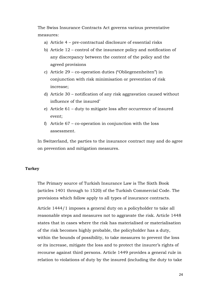The Swiss Insurance Contracts Act governs various preventative measures:

- a) Article 4 pre-contractual disclosure of essential risks
- b) Article 12 control of the insurance policy and notification of any discrepancy between the content of the policy and the agreed provisions
- c) Article 29 co-operation duties ("Obliegenenheiten") in conjunction with risk minimisation or prevention of risk increase;
- d) Article 30 notification of any risk aggravation caused without influence of the insured'
- e) Article 61 duty to mitigate loss after occurrence of insured event;
- f) Article 67 co-operation in conjunction with the loss assessment.

In Switzerland, the parties to the insurance contract may and do agree on prevention and mitigation measures.

## **Turkey**

The Primary source of Turkish Insurance Law is The Sixth Book (articles 1401 through to 1520) of the Turkish Commercial Code. The provisions which follow apply to all types of insurance contracts.

Article 1444/1 imposes a general duty on a policyholder to take all reasonable steps and measures not to aggravate the risk. Article 1448 states that in cases where the risk has materialised or materialisation of the risk becomes highly probable, the policyholder has a duty, within the bounds of possibility, to take measures to prevent the loss or its increase, mitigate the loss and to protect the insurer's rights of recourse against third persons. Article 1449 provides a general rule in relation to violations of duty by the insured (including the duty to take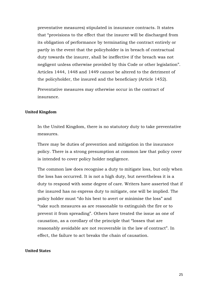preventative measures) stipulated in insurance contracts. It states that "provisions to the effect that the insurer will be discharged from its obligation of performance by terminating the contract entirely or partly in the event that the policyholder is in breach of contractual duty towards the insurer, shall be ineffective if the breach was not negligent unless otherwise provided by this Code or other legislation". Articles 1444, 1448 and 1449 cannot be altered to the detriment of the policyholder, the insured and the beneficiary (Article 1452).

Preventative measures may otherwise occur in the contract of insurance.

### **United Kingdom**

In the United Kingdom, there is no statutory duty to take preventative measures.

There may be duties of prevention and mitigation in the insurance policy. There is a strong presumption at common law that policy cover is intended to cover policy holder negligence.

The common law does recognise a duty to mitigate loss, but only when the loss has occurred. It is not a high duty, but nevertheless it is a duty to respond with some degree of care. Writers have asserted that if the insured has no express duty to mitigate, one will be implied. The policy holder must "do his best to avert or minimise the loss" and "take such measures as are reasonable to extinguish the fire or to prevent it from spreading". Others have treated the issue as one of causation, as a corollary of the principle that "losses that are reasonably avoidable are not recoverable in the law of contract". In effect, the failure to act breaks the chain of causation.

## **United States**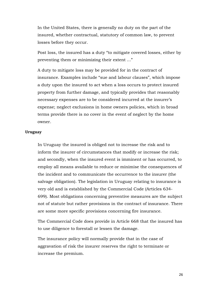In the United States, there is generally no duty on the part of the insured, whether contractual, statutory of common law, to prevent losses before they occur.

Post loss, the insured has a duty "to mitigate covered losses, either by preventing them or minimizing their extent ..."

A duty to mitigate loss may be provided for in the contract of insurance. Examples include "sue and labour clauses", which impose a duty upon the insured to act when a loss occurs to protect insured property from further damage, and typically provides that reasonably necessary expenses are to be considered incurred at the insurer's expense; neglect exclusions in home owners policies, which in broad terms provide there is no cover in the event of neglect by the home owner.

## **Uruguay**

In Uruguay the insured is obliged not to increase the risk and to inform the insurer of circumstances that modify or increase the risk; and secondly, when the insured event is imminent or has occurred, to employ all means available to reduce or minimise the consequences of the incident and to communicate the occurrence to the insurer (the salvage obligation). The legislation in Uruguay relating to insurance is very old and is established by the Commercial Code (Articles 634- 699). Most obligations concerning preventive measures are the subject not of statute but rather provisions in the contract of insurance. There are some more specific provisions concerning fire insurance.

The Commercial Code does provide in Article 668 that the insured has to use diligence to forestall or lessen the damage.

The insurance policy will normally provide that in the case of aggravation of risk the insurer reserves the right to terminate or increase the premium.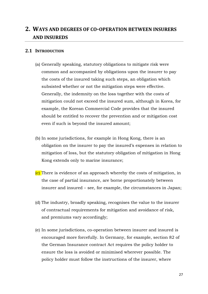## **2. WAYS AND DEGREES OF CO-OPERATION BETWEEN INSURERS AND INSUREDS**

## **2.1 INTRODUCTION**

- (a) Generally speaking, statutory obligations to mitigate risk were common and accompanied by obligations upon the insurer to pay the costs of the insured taking such steps, an obligation which subsisted whether or not the mitigation steps were effective. Generally, the indemnity on the loss together with the costs of mitigation could not exceed the insured sum, although in Korea, for example, the Korean Commercial Code provides that the insured should be entitled to recover the prevention and or mitigation cost even if such is beyond the insured amount;
- (b) In some jurisdictions, for example in Hong Kong, there is an obligation on the insurer to pay the insured's expenses in relation to mitigation of loss, but the statutory obligation of mitigation in Hong Kong extends only to marine insurance;
- (c) There is evidence of an approach whereby the costs of mitigation, in the case of partial insurance, are borne proportionately between insurer and insured – see, for example, the circumstances in Japan;
- (d) The industry, broadly speaking, recognises the value to the insurer of contractual requirements for mitigation and avoidance of risk, and premiums vary accordingly;
- (e) In some jurisdictions, co-operation between insurer and insured is encouraged more forcefully. In Germany, for example, section 82 of the German Insurance contract Act requires the policy holder to ensure the loss is avoided or minimised wherever possible. The policy holder must follow the instructions of the insurer, where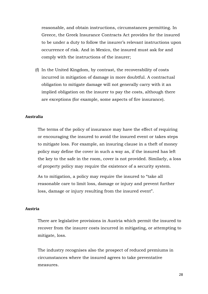reasonable, and obtain instructions, circumstances permitting. In Greece, the Greek Insurance Contracts Act provides for the insured to be under a duty to follow the insurer's relevant instructions upon occurrence of risk. And in Mexico, the insured must ask for and comply with the instructions of the insurer;

(f) In the United Kingdom, by contrast, the recoverability of costs incurred in mitigation of damage in more doubtful. A contractual obligation to mitigate damage will not generally carry with it an implied obligation on the insurer to pay the costs, although there are exceptions (for example, some aspects of fire insurance).

## **Australia**

The terms of the policy of insurance may have the effect of requiring or encouraging the insured to avoid the insured event or takes steps to mitigate loss. For example, an insuring clause in a theft of money policy may define the cover in such a way as, if the insured has left the key to the safe in the room, cover is not provided. Similarly, a loss of property policy may require the existence of a security system.

As to mitigation, a policy may require the insured to "take all reasonable care to limit loss, damage or injury and prevent further loss, damage or injury resulting from the insured event".

### **Austria**

There are legislative provisions in Austria which permit the insured to recover from the insurer costs incurred in mitigating, or attempting to mitigate, loss.

The industry recognises also the prospect of reduced premiums in circumstances where the insured agrees to take preventative measures.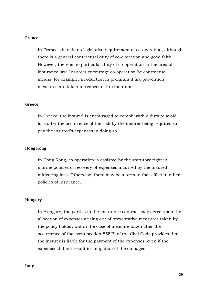## **France**

In France, there is no legislative requirement of co-operation, although there is a general contractual duty of co-operation and good faith. However, there is no particular duty of co-operation in the area of insurance law. Insurers encourage co-operation be contractual means: for example, a reduction in premium if fire prevention measures are taken in respect of fire insurance.

#### **Greece**

In Greece, the insured is encouraged to comply with a duty to avoid loss after the occurrence of the risk by the insurer being required to pay the insured's expenses in doing so.

## **Hong Kong**

In Hong Kong, co-operation is assisted by the statutory right in marine policies of recovery of expenses incurred by the insured mitigating loss. Otherwise, there may be a term to that effect in other policies of insurance.

#### **Hungary**

In Hungary, the parties to the insurance contract may agree upon the allocation of expenses arising out of preventative measures taken by the policy holder, but in the case of measure taken after the occurrence of the event section 555(3) of the Civil Code provides that the insurer is liable for the payment of the expenses, even if the expenses did not result in mitigation of the damages.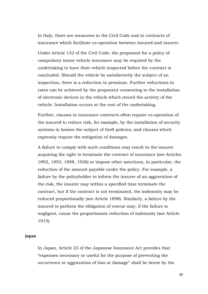In Italy, there are measures in the Civil Code and in contracts of insurance which facilitate co-operation between insured and insurer.

Under Article 132 of the Civil Code, the proponent for a policy of compulsory motor vehicle insurance may be required by the undertaking to have their vehicle inspected before the contract is concluded. Should the vehicle be satisfactorily the subject of an inspection, there is a reduction in premium. Further reductions in rates can be achieved by the proponent consenting to the installation of electronic devices in the vehicle which record the activity of the vehicle. Installation occurs at the cost of the undertaking.

Further, clauses in insurance contracts often require co-operation of the insured to reduce risk, for example, by the installation of security systems in homes the subject of theft policies; and clauses which expressly require the mitigation of damages.

A failure to comply with such conditions may result in the insurer acquiring the right to terminate the contract of insurance (see Articles 1892, 1893, 1898, 1926) or impose other sanctions, in particular, the reduction of the amount payable under the policy. For example, a failure by the policyholder to inform the insurer of an aggravation of the risk, the insurer may within a specified time terminate the contract, but if the contract is not terminated, the indemnity may be reduced proportionally (see Article 1898). Similarly, a failure by the insured to perform the obligation of rescue may, if the failure is negligent, cause the proportionate reduction of indemnity (see Article 1915).

## **Japan**

In Japan, Article 23 of the Japanese Insurance Act provides that "expenses necessary or useful for the purpose of preventing the occurrence or aggravation of loss or damage" shall be borne by the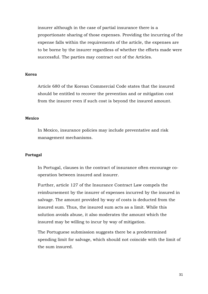insurer although in the case of partial insurance there is a proportionate sharing of those expenses. Providing the incurring of the expense falls within the requirements of the article, the expenses are to be borne by the insurer regardless of whether the efforts made were successful. The parties may contract out of the Articles.

## **Korea**

Article 680 of the Korean Commercial Code states that the insured should be entitled to recover the prevention and or mitigation cost from the insurer even if such cost is beyond the insured amount.

## **Mexico**

In Mexico, insurance policies may include preventative and risk management mechanisms.

## **Portugal**

In Portugal, clauses in the contract of insurance often encourage cooperation between insured and insurer.

Further, article 127 of the Insurance Contract Law compels the reimbursement by the insurer of expenses incurred by the insured in salvage. The amount provided by way of costs is deducted from the insured sum. Thus, the insured sum acts as a limit. While this solution avoids abuse, it also moderates the amount which the insured may be willing to incur by way of mitigation.

The Portuguese submission suggests there be a predetermined spending limit for salvage, which should not coincide with the limit of the sum insured.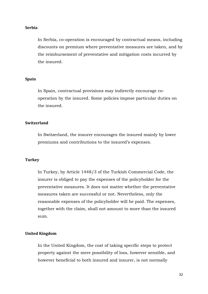### **Serbia**

In Serbia, co-operation is encouraged by contractual means, including discounts on premium where preventative measures are taken, and by the reimbursement of preventative and mitigation costs incurred by the insured.

## **Spain**

In Spain, contractual provisions may indirectly encourage cooperation by the insured. Some policies impose particular duties on the insured.

## **Switzerland**

In Switzerland, the insurer encourages the insured mainly by lower premiums and contributions to the insured's expenses.

## **Turkey**

In Turkey, by Article 1448/3 of the Turkish Commercial Code, the insurer is obliged to pay the expenses of the policyholder for the preventative measures. It does not matter whether the preventative measures taken are successful or not. Nevertheless, only the reasonable expenses of the policyholder will be paid. The expenses, together with the claim, shall not amount to more than the insured sum.

## **United Kingdom**

In the United Kingdom, the cost of taking specific steps to protect property against the mere possibility of loss, however sensible, and however beneficial to both insured and insurer, is not normally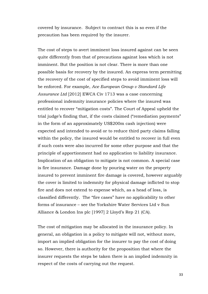covered by insurance. Subject to contract this is so even if the precaution has been required by the insurer.

The cost of steps to avert imminent loss insured against can be seen quite differently from that of precautions against loss which is not imminent. But the position is not clear. There is more than one possible basis for recovery by the insured. An express term permitting the recovery of the cost of specified steps to avoid imminent loss will be enforced. For example, *Ace European Group v Standard Life Assurance Ltd* [2012] EWCA Civ 1713 was a case concerning professional indemnity insurance policies where the insured was entitled to recover "mitigation costs". The Court of Appeal upheld the trial judge's finding that, if the costs claimed ("remediation payments" in the form of an approximately US\$200m cash injection) were expected and intended to avoid or to reduce third party claims falling within the policy, the insured would be entitled to recover in full even if such costs were also incurred for some other purpose and that the principle of apportionment had no application to liability insurance. Implication of an obligation to mitigate is not common. A special case is fire insurance. Damage done by pouring water on the property insured to prevent imminent fire damage is covered, however arguably the cover is limited to indemnity for physical damage inflicted to stop fire and does not extend to expense which, as a head of loss, is classified differently. The "fire cases" have no applicability to other forms of insurance – see the Yorkshire Water Services Ltd v Sun Alliance & London Ins plc [1997] 2 Lloyd's Rep 21 (CA).

The cost of mitigation may be allocated in the insurance policy. In general, an obligation in a policy to mitigate will not, without more, import an implied obligation for the insurer to pay the cost of doing so. However, there is authority for the proposition that where the insurer requests the steps be taken there is an implied indemnity in respect of the costs of carrying out the request.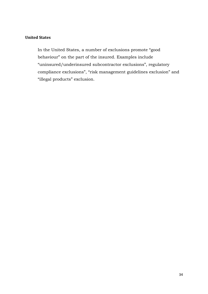## **United States**

In the United States, a number of exclusions promote "good behaviour" on the part of the insured. Examples include "uninsured/underinsured subcontractor exclusions", regulatory compliance exclusions", "risk management guidelines exclusion" and "illegal products" exclusion.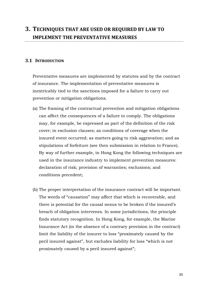## **3. TECHNIQUES THAT ARE USED OR REQUIRED BY LAW TO IMPLEMENT THE PREVENTATIVE MEASURES**

## **3.1 INTRODUCTION**

Preventative measures are implemented by statutes and by the contract of insurance. The implementation of preventative measures is inextricably tied to the sanctions imposed for a failure to carry out prevention or mitigation obligations.

- (a) The framing of the contractual prevention and mitigation obligations can affect the consequences of a failure to comply. The obligations may, for example, be expressed as part of the definition of the risk cover; in exclusion clauses; as conditions of coverage when the insured event occurred; as matters going to risk aggravation; and as stipulations of forfeiture (see then submission in relation to France). By way of further example, in Hong Kong the following techniques are used in the insurance industry to implement prevention measures: declaration of risk; provision of warranties; exclusions; and conditions precedent;
- (b) The proper interpretation of the insurance contract will be important. The words of "causation" may affect that which is recoverable, and there is potential for the causal nexus to be broken if the insured's breach of obligation intervenes. In some jurisdictions, the principle finds statutory recognition. In Hong Kong, for example, the Marine Insurance Act (in the absence of a contrary provision in the contract) limit the liability of the insurer to loss "proximately caused by the peril insured against", but excludes liability for loss "which is not proximately caused by a peril insured against";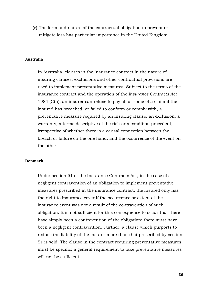(c) The form and nature of the contractual obligation to prevent or mitigate loss has particular importance in the United Kingdom;

## **Australia**

In Australia, clauses in the insurance contract in the nature of insuring clauses, exclusions and other contractual provisions are used to implement preventative measures. Subject to the terms of the insurance contract and the operation of the *Insurance Contracts Act* 1984 (Cth), an insurer can refuse to pay all or some of a claim if the insured has breached, or failed to conform or comply with, a preventative measure required by an insuring clause, an exclusion, a warranty, a terms descriptive of the risk or a condition precedent, irrespective of whether there is a causal connection between the breach or failure on the one hand, and the occurrence of the event on the other.

## **Denmark**

Under section 51 of the Insurance Contracts Act, in the case of a negligent contravention of an obligation to implement preventative measures prescribed in the insurance contract, the insured only has the right to insurance cover if the occurrence or extent of the insurance event was not a result of the contravention of such obligation. It is not sufficient for this consequence to occur that there have simply been a contravention of the obligation: there must have been a negligent contravention. Further, a clause which purports to reduce the liability of the insurer more than that prescribed by section 51 is void. The clause in the contract requiring preventative measures must be specific: a general requirement to take preventative measures will not be sufficient.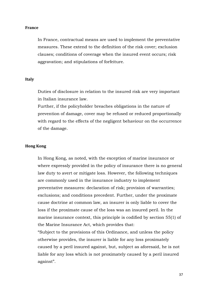## **France**

In France, contractual means are used to implement the preventative measures. These extend to the definition of the risk cover; exclusion clauses; conditions of coverage when the insured event occurs; risk aggravation; and stipulations of forfeiture.

## **Italy**

Duties of disclosure in relation to the insured risk are very important in Italian insurance law.

Further, if the policyholder breaches obligations in the nature of prevention of damage, cover may be refused or reduced proportionally with regard to the effects of the negligent behaviour on the occurrence of the damage.

## **Hong Kong**

In Hong Kong, as noted, with the exception of marine insurance or where expressly provided in the policy of insurance there is no general law duty to avert or mitigate loss. However, the following techniques are commonly used in the insurance industry to implement preventative measures: declaration of risk; provision of warranties; exclusions; and conditions precedent. Further, under the proximate cause doctrine at common law, an insurer is only liable to cover the loss if the proximate cause of the loss was an insured peril. In the marine insurance context, this principle is codified by section 55(1) of the Marine Insurance Act, which provides that:

"Subject to the provisions of this Ordinance, and unless the policy otherwise provides, the insurer is liable for any loss proximately caused by a peril insured against, but, subject as aforesaid, he is not liable for any loss which is not proximately caused by a peril insured against".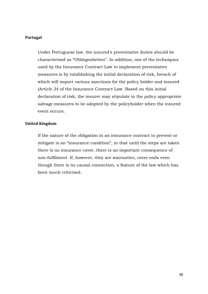## **Portugal**

Under Portuguese law, the insured's preventative duties should be characterised as "Obliegenheiten". In addition, one of the techniques used by the Insurance Contract Law to implement preventative measures is by establishing the initial declaration of risk, breach of which will import various sanctions for the policy holder and insured (Article 24 of the Insurance Contract Law. Based on this initial declaration of risk, the insurer may stipulate in the policy appropriate salvage measures to be adopted by the policyholder when the insured event occurs.

## **United Kingdom**

If the nature of the obligation in an insurance contract to prevent or mitigate is an "insurance condition", in that until the steps are taken there is no insurance cover, there is an important consequence of non-fulfilment. If, however, they are warranties, cover ends even though there is no causal connection, a feature of the law which has been much criticised.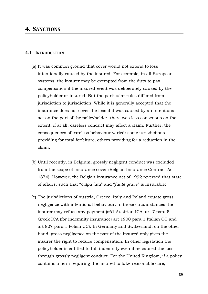## **4. SANCTIONS**

## **4.1 INTRODUCTION**

- (a) It was common ground that cover would not extend to loss intentionally caused by the insured. For example, in all European systems, the insurer may be exempted from the duty to pay compensation if the insured event was deliberately caused by the policyholder or insured. But the particular rules differed from jurisdiction to jurisdiction. While it is generally accepted that the insurance does not cover the loss if it was caused by an intentional act on the part of the policyholder, there was less consensus on the extent, if at all, careless conduct may affect a claim. Further, the consequences of careless behaviour varied: some jurisdictions providing for total forfeiture, others providing for a reduction in the claim.
- (b) Until recently, in Belgium, grossly negligent conduct was excluded from the scope of insurance cover (Belgian Insurance Contract Act 1874). However, the Belgian Insurance Act of 1992 reversed that state of affairs, such that "*culpa lata*" and "*faute grave*" is insurable;
- (c) The jurisdictions of Austria, Greece, Italy and Poland equate gross negligence with intentional behaviour. In those circumstances the insurer may refuse any payment (s61 Austrian ICA, art 7 para 5 Greek ICA (for indemnity insurance) art 1900 para 1 Italian CC and art 827 para 1 Polish CC). In Germany and Switzerland, on the other hand, gross negligence on the part of the insured only gives the insurer the right to reduce compensation. In other legislation the policyholder is entitled to full indemnity even if he caused the loss through grossly negligent conduct. For the United Kingdom, if a policy contains a term requiring the insured to take reasonable care,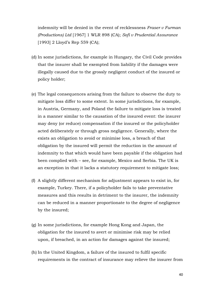indemnity will be denied in the event of recklessness *Fraser v Furman (Productions) Ltd* [1967] 1 WLR 898 (CA); *Sofi v Prudential Assurance* [1993] 2 Lloyd's Rep 559 (CA);

- (d) In some jurisdictions, for example in Hungary, the Civil Code provides that the insurer shall be exempted from liability if the damages were illegally caused due to the grossly negligent conduct of the insured or policy holder;
- (e) The legal consequences arising from the failure to observe the duty to mitigate loss differ to some extent. In some jurisdictions, for example, in Austria, Germany, and Poland the failure to mitigate loss is treated in a manner similar to the causation of the insured event: the insurer may deny (or reduce) compensation if the insured or the policyholder acted deliberately or through gross negligence. Generally, where the exists an obligation to avoid or minimise loss, a breach of that obligation by the insured will permit the reduction in the amount of indemnity to that which would have been payable if the obligation had been complied with – see, for example, Mexico and Serbia. The UK is an exception in that it lacks a statutory requirement to mitigate loss;
- (f) A slightly different mechanism for adjustment appears to exist in, for example, Turkey. There, if a policyholder fails to take preventative measures and this results in detriment to the insurer, the indemnity can be reduced in a manner proportionate to the degree of negligence by the insured;
- (g) In some jurisdictions, for example Hong Kong and Japan, the obligation for the insured to avert or minimise risk may be relied upon, if breached, in an action for damages against the insured;
- (h) In the United Kingdom, a failure of the insured to fulfil specific requirements in the contract of insurance may relieve the insurer from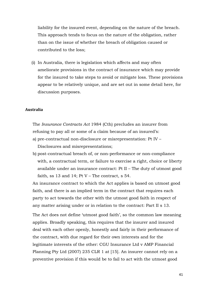liability for the insured event, depending on the nature of the breach. This approach tends to focus on the nature of the obligation, rather than on the issue of whether the breach of obligation caused or contributed to the loss;

(i) In Australia, there is legislation which affects and may often ameliorate provisions in the contract of insurance which may provide for the insured to take steps to avoid or mitigate loss. These provisions appear to be relatively unique, and are set out in some detail here, for discussion purposes.

## **Australia**

The *Insurance Contracts Act* 1984 (Cth) precludes an insurer from refusing to pay all or some of a claim because of an insured's:

- a) pre-contractual non-disclosure or misrepresentation: Pt IV Disclosures and misrepresentations;
- b) post-contractual breach of, or non-performance or non-compliance with, a contractual term, or failure to exercise a right, choice or liberty available under an insurance contract: Pt II – The duty of utmost good faith, ss  $13$  and  $14$ ; Pt V – The contract, s  $54$ .

An insurance contract to which the Act applies is based on utmost good faith, and there is an implied term in the contract that requires each party to act towards the other with the utmost good faith in respect of any matter arising under or in relation to the contract: Part II s 13.

The Act does not define 'utmost good faith', so the common law meaning applies. Broadly speaking, this requires that the insurer and insured deal with each other openly, honestly and fairly in their performance of the contract, with due regard for their own interests and for the legitimate interests of the other: CGU Insurance Ltd v AMP Financial Planning Pty Ltd (2007) 235 CLR 1 at [15]. An insurer cannot rely on a preventive provision if this would be to fail to act with the utmost good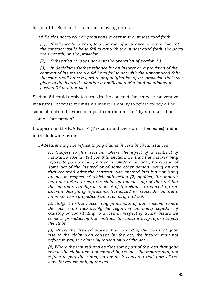faith: s 14. Section 14 is in the following terms:

*14 Parties not to rely on provisions except in the utmost good faith* 

*(1) If reliance by a party to a contract of insurance on a provision of the contract would be to fail to act with the utmost good faith, the party may not rely on the provision.* 

*(2) Subsection (1) does not limit the operation of section 13.* 

*(3) In deciding whether reliance by an insurer on a provision of the contract of insurance would be to fail to act with the utmost good faith, the court shall have regard to any notification of the provision that was given to the insured, whether a notification of a kind mentioned in section 37 or otherwise.* 

Section 54 could apply to terms in the contract that impose 'preventive measures', because it limits an insurer's ability to refuse to pay all or some of a claim because of a post-contractual "act" by an insured or "some other person".

It appears in the ICA Part V (The contract) Division 3 (Remedies) and is in the following terms:

*54 Insurer may not refuse to pay claims in certain circumstances* 

*(1) Subject to this section, where the effect of a contract of insurance would, but for this section, be that the insurer may refuse to pay a claim, either in whole or in part, by reason of some act of the insured or of some other person, being an act that occurred after the contract was entered into but not being an act in respect of which subsection (2) applies, the insurer may not refuse to pay the claim by reason only of that act but the insurer's liability in respect of the claim is reduced by the amount that fairly represents the extent to which the insurer's interests were prejudiced as a result of that act.* 

*(2) Subject to the succeeding provisions of this section, where the act could reasonably be regarded as being capable of causing or contributing to a loss in respect of which insurance cover is provided by the contract, the insurer may refuse to pay the claim.* 

*(3) Where the insured proves that no part of the loss that gave rise to the claim was caused by the act, the insurer may not refuse to pay the claim by reason only of the act.* 

*(4) Where the insured proves that some part of the loss that gave rise to the claim was not caused by the act, the insurer may not refuse to pay the claim, so far as it concerns that part of the loss, by reason only of the act.*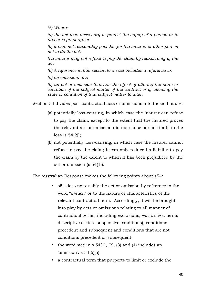*(5) Where:* 

*(a) the act was necessary to protect the safety of a person or to preserve property; or* 

*(b) it was not reasonably possible for the insured or other person not to do the act;* 

*the insurer may not refuse to pay the claim by reason only of the act.* 

*(6) A reference in this section to an act includes a reference to:* 

*(a) an omission; and* 

*(b) an act or omission that has the effect of altering the state or condition of the subject matter of the contract or of allowing the state or condition of that subject matter to alter.*

Section 54 divides post-contractual acts or omissions into those that are:

- (a) potentially loss-causing, in which case the insurer can refuse to pay the claim, except to the extent that the insured proves the relevant act or omission did not cause or contribute to the loss (s 54(2));
- (b) not potentially loss-causing, in which case the insurer cannot refuse to pay the claim; it can only reduce its liability to pay the claim by the extent to which it has been prejudiced by the act or omission (s 54(1)).

The Australian Response makes the following points about s54:

- s54 does not qualify the act or omission by reference to the word "*breach*" or to the nature or characteristics of the relevant contractual term. Accordingly, it will be brought into play by acts or omissions relating to all manner of contractual terms, including exclusions, warranties, terms descriptive of risk (suspensive conditions), conditions precedent and subsequent and conditions that are not conditions precedent or subsequent.
- the word 'act' in  $s$  54(1), (2), (3) and (4) includes an 'omission': s  $54(6)(a)$
- a contractual term that purports to limit or exclude the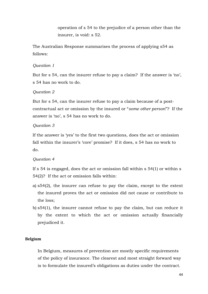operation of s 54 to the prejudice of a person other than the insurer, is void: s 52.

The Australian Response summarises the process of applying s54 as follows:

## *Question 1*

But for s 54, can the insurer refuse to pay a claim? If the answer is 'no', s 54 has no work to do.

## *Question 2*

But for s 54, can the insurer refuse to pay a claim because of a postcontractual act or omission by the insured or "*some other person*"? If the answer is 'no', s 54 has no work to do.

## *Question 3*

If the answer is 'yes' to the first two questions, does the act or omission fall within the insurer's 'core' promise? If it does, s 54 has no work to do.

## *Question 4*

If s 54 is engaged, does the act or omission fall within s 54(1) or within s 54(2)? If the act or omission falls within:

- a) s54(2), the insurer can refuse to pay the claim, except to the extent the insured proves the act or omission did not cause or contribute to the loss;
- b) s54(1), the insurer cannot refuse to pay the claim, but can reduce it by the extent to which the act or omission actually financially prejudiced it.

## **Belgium**

In Belgium, measures of prevention are mostly specific requirements of the policy of insurance. The clearest and most straight forward way is to formulate the insured's obligations as duties under the contract.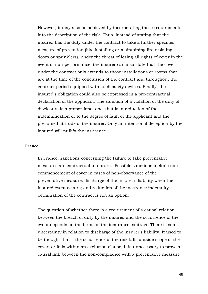However, it may also be achieved by incorporating these requirements into the description of the risk. Thus, instead of stating that the insured has the duty under the contract to take a further specified measure of prevention (like installing or maintaining fire resisting doors or sprinklers), under the threat of losing all rights of cover in the event of non-performance, the insurer can also state that the cover under the contract only extends to those installations or rooms that are at the time of the conclusion of the contract and throughout the contract period equipped with such safety devices. Finally, the insured's obligation could also be expressed in a pre-contractual declaration of the applicant. The sanction of a violation of the duty of disclosure is a proportional one, that is, a reduction of the indemnification or to the degree of fault of the applicant and the presumed attitude of the insurer. Only an intentional deception by the insured will nullify the insurance.

## **France**

In France, sanctions concerning the failure to take preventative measures are contractual in nature. Possible sanctions include noncommencement of cover in cases of non-observance of the preventative measure; discharge of the insurer's liability when the insured event occurs; and reduction of the insurance indemnity. Termination of the contract is not an option.

The question of whether there is a requirement of a causal relation between the breach of duty by the insured and the occurrence of the event depends on the terms of the insurance contract. There is some uncertainty in relation to discharge of the insurer's liability. It used to be thought that if the occurrence of the risk falls outside scope of the cover, or falls within an exclusion clause, it is unnecessary to prove a causal link between the non-compliance with a preventative measure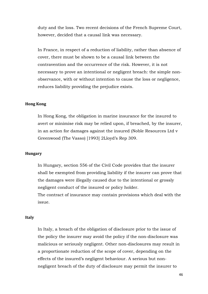duty and the loss. Two recent decisions of the French Supreme Court, however, decided that a causal link was necessary.

In France, in respect of a reduction of liability, rather than absence of cover, there must be shown to be a causal link between the contravention and the occurrence of the risk. However, it is not necessary to prove an intentional or negligent breach: the simple nonobservance, with or without intention to cause the loss or negligence, reduces liability providing the prejudice exists.

## **Hong Kong**

In Hong Kong, the obligation in marine insurance for the insured to avert or minimise risk may be relied upon, if breached, by the insurer, in an action for damages against the insured (Noble Resources Ltd v Greenwood (The Vasso) [1993] 2Lloyd's Rep 309.

### **Hungary**

In Hungary, section 556 of the Civil Code provides that the insurer shall be exempted from providing liability if the insurer can prove that the damages were illegally caused due to the intentional or grossly negligent conduct of the insured or policy holder.

The contract of insurance may contain provisions which deal with the issue.

## **Italy**

In Italy, a breach of the obligation of disclosure prior to the issue of the policy the insurer may avoid the policy if the non-disclosure was malicious or seriously negligent. Other non-disclosures may result in a proportionate reduction of the scope of cover, depending on the effects of the insured's negligent behaviour. A serious but nonnegligent breach of the duty of disclosure may permit the insurer to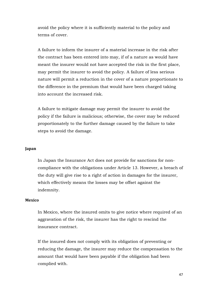avoid the policy where it is sufficiently material to the policy and terms of cover.

A failure to inform the insurer of a material increase in the risk after the contract has been entered into may, if of a nature as would have meant the insurer would not have accepted the risk in the first place, may permit the insurer to avoid the policy. A failure of less serious nature will permit a reduction in the cover of a nature proportionate to the difference in the premium that would have been charged taking into account the increased risk.

A failure to mitigate damage may permit the insurer to avoid the policy if the failure is malicious; otherwise, the cover may be reduced proportionately to the further damage caused by the failure to take steps to avoid the damage.

## **Japan**

In Japan the Insurance Act does not provide for sanctions for noncompliance with the obligations under Article 13. However, a breach of the duty will give rise to a right of action in damages for the insurer, which effectively means the losses may be offset against the indemnity.

## **Mexico**

In Mexico, where the insured omits to give notice where required of an aggravation of the risk, the insurer has the right to rescind the insurance contract.

If the insured does not comply with its obligation of preventing or reducing the damage, the insurer may reduce the compensation to the amount that would have been payable if the obligation had been complied with.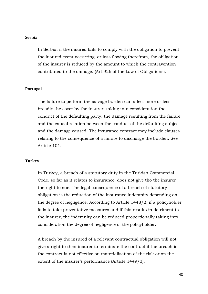## **Serbia**

In Serbia, if the insured fails to comply with the obligation to prevent the insured event occurring, or loss flowing therefrom, the obligation of the insurer is reduced by the amount to which the contravention contributed to the damage. (Art.926 of the Law of Obligations).

## **Portugal**

The failure to perform the salvage burden can affect more or less broadly the cover by the insurer, taking into consideration the conduct of the defaulting party, the damage resulting from the failure and the causal relation between the conduct of the defaulting subject and the damage caused. The insurance contract may include clauses relating to the consequence of a failure to discharge the burden. See Article 101.

## **Turkey**

In Turkey, a breach of a statutory duty in the Turkish Commercial Code, so far as it relates to insurance, does not give tho the insurer the right to sue. The legal consequence of a breach of statutory obligation is the reduction of the insurance indemnity depending on the degree of negligence. According to Article 1448/2, if a policyholder fails to take preventative measures and if this results in detriment to the insurer, the indemnity can be reduced proportionally taking into consideration the degree of negligence of the policyholder.

A breach by the insured of a relevant contractual obligation will not give a right to then insurer to terminate the contract if the breach is the contract is not effective on materialisation of the risk or on the extent of the insurer's performance (Article 1449/3).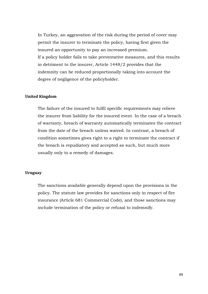In Turkey, an aggravation of the risk during the period of cover may permit the insurer to terminate the policy, having first given the insured an opportunity to pay an increased premium. If a policy holder fails to take preventative measures, and this results in detriment to the insurer, Article 1448/2 provides that the indemnity can be reduced proportionally taking into account the degree of negligence of the policyholder.

## **United Kingdom**

The failure of the insured to fulfil specific requirements may relieve the insurer from liability for the insured event. In the case of a breach of warranty, breach of warranty automatically terminates the contract from the date of the breach unless waived. In contrast, a breach of condition sometimes gives right to a right to terminate the contract if the breach is repudiatory and accepted as such, but much more usually only to a remedy of damages.

## **Uruguay**

The sanctions available generally depend upon the provisions in the policy. The statute law provides for sanctions only in respect of fire insurance (Article 681 Commercial Code), and those sanctions may include termination of the policy or refusal to indemnify.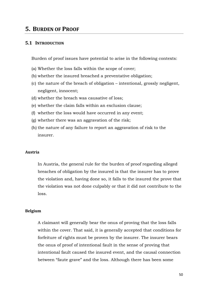## **5. BURDEN OF PROOF**

## **5.1 INTRODUCTION**

Burden of proof issues have potential to arise in the following contexts:

- (a) Whether the loss falls within the scope of cover;
- (b) whether the insured breached a preventative obligation;
- (c) the nature of the breach of obligation intentional, grossly negligent, negligent, innocent;
- (d) whether the breach was causative of loss;
- (e) whether the claim falls within an exclusion clause;
- (f) whether the loss would have occurred in any event;
- (g) whether there was an aggravation of the risk;
- (h) the nature of any failure to report an aggravation of risk to the insurer.

### **Austria**

In Austria, the general rule for the burden of proof regarding alleged breaches of obligation by the insured is that the insurer has to prove the violation and, having done so, it falls to the insured the prove that the violation was not done culpably or that it did not contribute to the loss.

## **Belgium**

A claimant will generally bear the onus of proving that the loss falls within the cover. That said, it is generally accepted that conditions for forfeiture of rights must be proven by the insurer. The insurer bears the onus of proof of intentional fault in the sense of proving that intentional fault caused the insured event, and the causal connection between "faute grave" and the loss. Although there has been some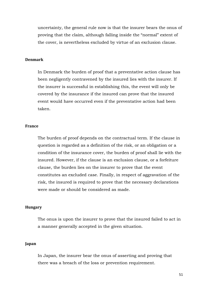uncertainty, the general rule now is that the insurer bears the onus of proving that the claim, although falling inside the "normal" extent of the cover, is nevertheless excluded by virtue of an exclusion clause.

## **Denmark**

In Denmark the burden of proof that a preventative action clause has been negligently contravened by the insured lies with the insurer. If the insurer is successful in establishing this, the event will only be covered by the insurance if the insured can prove that the insured event would have occurred even if the preventative action had been taken.

### **France**

The burden of proof depends on the contractual term. If the clause in question is regarded as a definition of the risk, or an obligation or a condition of the insurance cover, the burden of proof shall lie with the insured. However, if the clause is an exclusion clause, or a forfeiture clause, the burden lies on the insurer to prove that the event constitutes an excluded case. Finally, in respect of aggravation of the risk, the insured is required to prove that the necessary declarations were made or should be considered as made.

## **Hungary**

The onus is upon the insurer to prove that the insured failed to act in a manner generally accepted in the given situation.

## **Japan**

In Japan, the insurer bear the onus of asserting and proving that there was a breach of the loss or prevention requirement.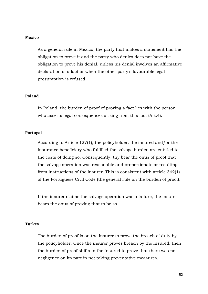## **Mexico**

As a general rule in Mexico, the party that makes a statement has the obligation to prove it and the party who denies does not have the obligation to prove his denial, unless his denial involves an affirmative declaration of a fact or when the other party's favourable legal presumption is refused.

## **Poland**

In Poland, the burden of proof of proving a fact lies with the person who asserts legal consequences arising from this fact (Art.4).

## **Portugal**

According to Article 127(1), the policyholder, the insured and/or the insurance beneficiary who fulfilled the salvage burden are entitled to the costs of doing so. Consequently, thy bear the onus of proof that the salvage operation was reasonable and proportionate or resulting from instructions of the insurer. This is consistent with article 342(1) of the Portuguese Civil Code (the general rule on the burden of proof).

If the insurer claims the salvage operation was a failure, the insurer bears the onus of proving that to be so.

## **Turkey**

The burden of proof is on the insurer to prove the breach of duty by the policyholder. Once the insurer proves breach by the insured, then the burden of proof shifts to the insured to prove that there was no negligence on its part in not taking preventative measures.